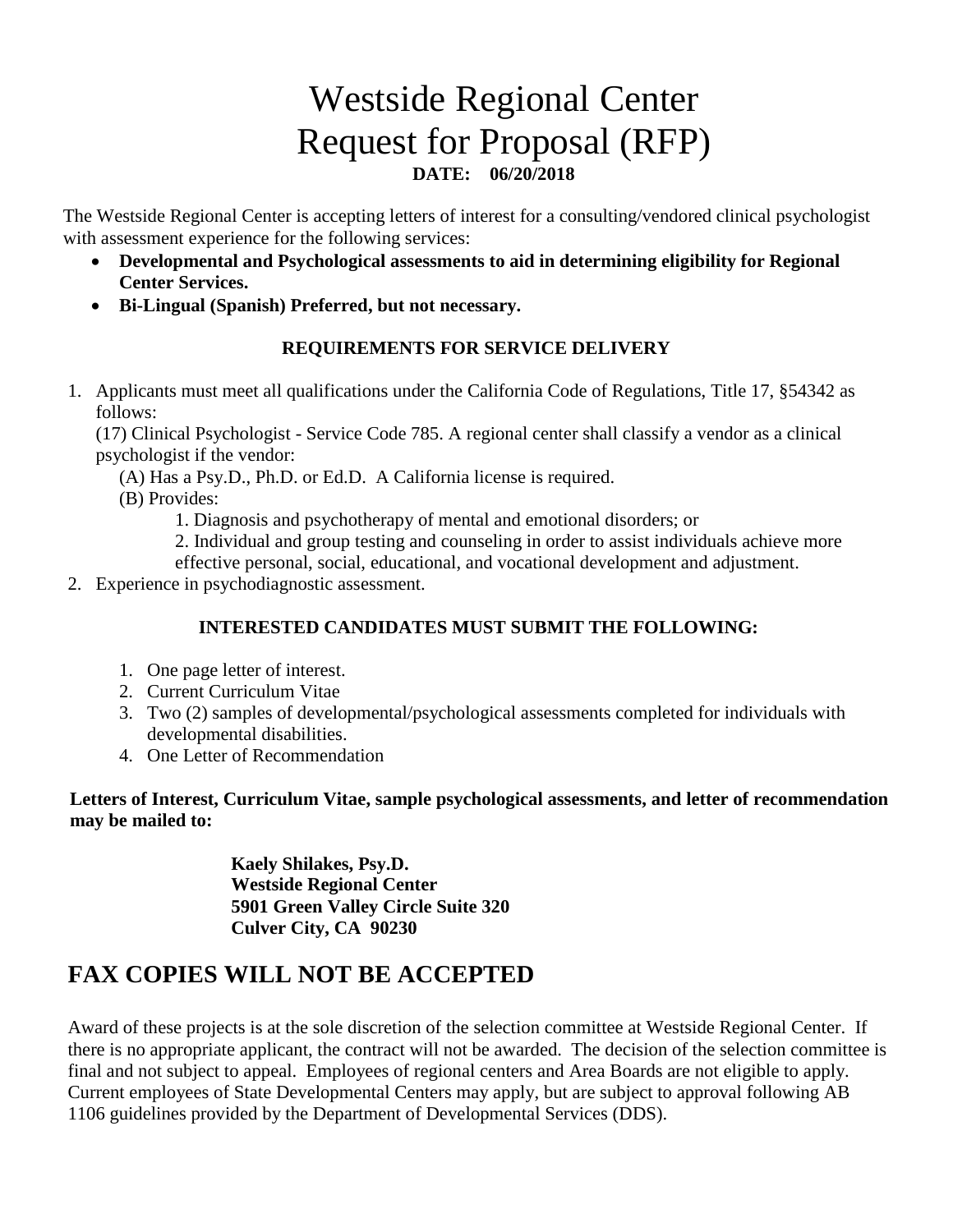# Westside Regional Center Request for Proposal (RFP) **DATE: 06/20/2018**

The Westside Regional Center is accepting letters of interest for a consulting/vendored clinical psychologist with assessment experience for the following services:

- **Developmental and Psychological assessments to aid in determining eligibility for Regional Center Services.**
- **Bi-Lingual (Spanish) Preferred, but not necessary.**

#### **REQUIREMENTS FOR SERVICE DELIVERY**

1. Applicants must meet all qualifications under the California Code of Regulations, Title 17, §54342 as follows:

(17) Clinical Psychologist - Service Code 785. A regional center shall classify a vendor as a clinical psychologist if the vendor:

(A) Has a Psy.D., Ph.D. or Ed.D. A California license is required.

(B) Provides:

1. Diagnosis and psychotherapy of mental and emotional disorders; or

2. Individual and group testing and counseling in order to assist individuals achieve more

effective personal, social, educational, and vocational development and adjustment.

2. Experience in psychodiagnostic assessment.

#### **INTERESTED CANDIDATES MUST SUBMIT THE FOLLOWING:**

- 1. One page letter of interest.
- 2. Current Curriculum Vitae
- 3. Two (2) samples of developmental/psychological assessments completed for individuals with developmental disabilities.
- 4. One Letter of Recommendation

**Letters of Interest, Curriculum Vitae, sample psychological assessments, and letter of recommendation may be mailed to:**

> **Kaely Shilakes, Psy.D. Westside Regional Center 5901 Green Valley Circle Suite 320 Culver City, CA 90230**

## **FAX COPIES WILL NOT BE ACCEPTED**

Award of these projects is at the sole discretion of the selection committee at Westside Regional Center. If there is no appropriate applicant, the contract will not be awarded. The decision of the selection committee is final and not subject to appeal. Employees of regional centers and Area Boards are not eligible to apply. Current employees of State Developmental Centers may apply, but are subject to approval following AB 1106 guidelines provided by the Department of Developmental Services (DDS).